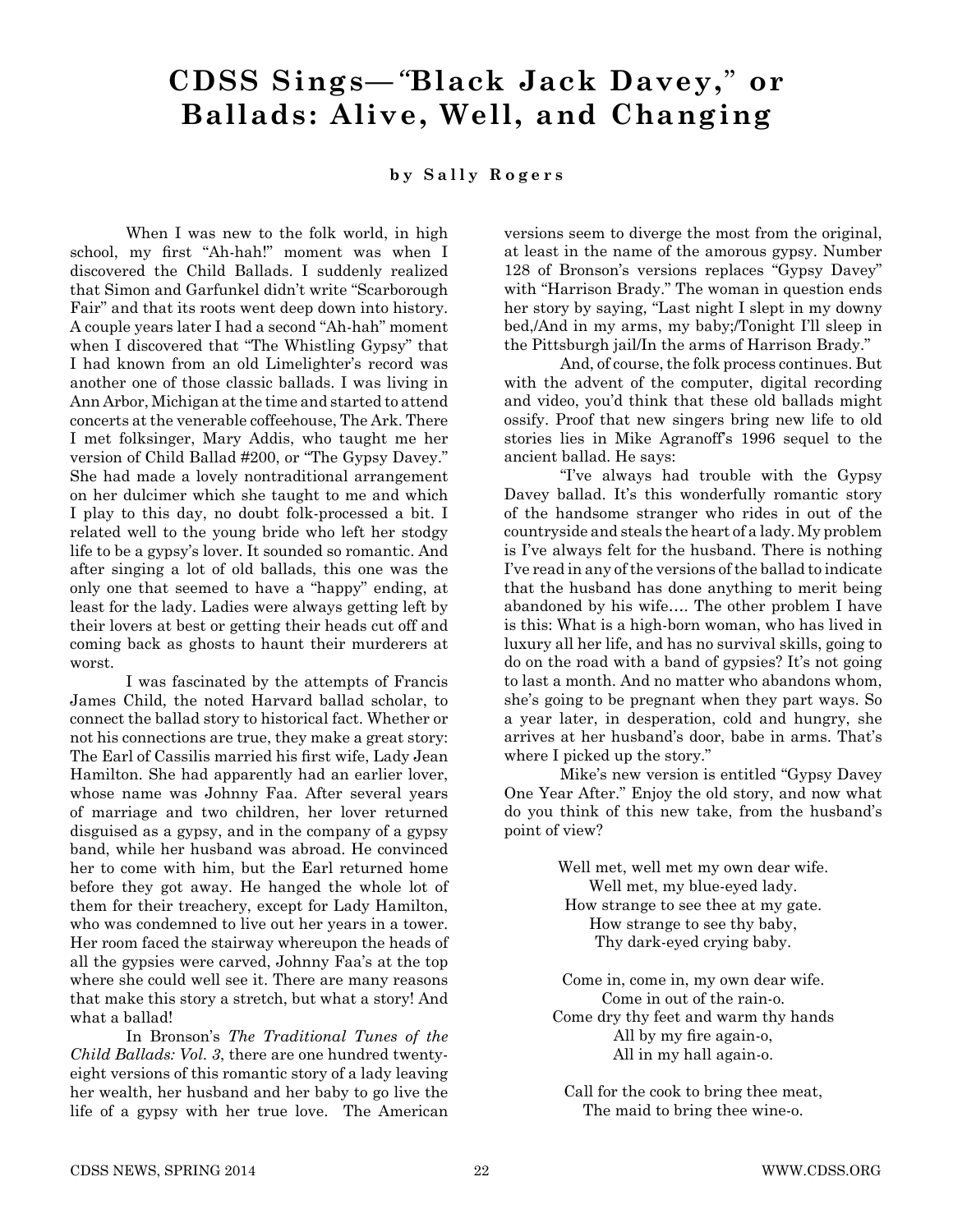## **CDSS Sings—***"***Black Jack Davey,**" **or Ballads: Alive, Well, and Changing**

## **b y S a l l y R o g e r s**

When I was new to the folk world, in high school, my first "Ah-hah!" moment was when I discovered the Child Ballads. I suddenly realized that Simon and Garfunkel didn't write "Scarborough Fair" and that its roots went deep down into history. A couple years later I had a second "Ah-hah" moment when I discovered that "The Whistling Gypsy" that I had known from an old Limelighter's record was another one of those classic ballads. I was living in Ann Arbor, Michigan at the time and started to attend concerts at the venerable coffeehouse, The Ark. There I met folksinger, Mary Addis, who taught me her version of Child Ballad #200, or "The Gypsy Davey." She had made a lovely nontraditional arrangement on her dulcimer which she taught to me and which I play to this day, no doubt folk-processed a bit. I related well to the young bride who left her stodgy life to be a gypsy's lover. It sounded so romantic. And after singing a lot of old ballads, this one was the only one that seemed to have a "happy" ending, at least for the lady. Ladies were always getting left by their lovers at best or getting their heads cut off and coming back as ghosts to haunt their murderers at worst.

I was fascinated by the attempts of Francis James Child, the noted Harvard ballad scholar, to connect the ballad story to historical fact. Whether or not his connections are true, they make a great story: The Earl of Cassilis married his first wife, Lady Jean Hamilton. She had apparently had an earlier lover, whose name was Johnny Faa. After several years of marriage and two children, her lover returned disguised as a gypsy, and in the company of a gypsy band, while her husband was abroad. He convinced her to come with him, but the Earl returned home before they got away. He hanged the whole lot of them for their treachery, except for Lady Hamilton, who was condemned to live out her years in a tower. Her room faced the stairway whereupon the heads of all the gypsies were carved, Johnny Faa's at the top where she could well see it. There are many reasons that make this story a stretch, but what a story! And what a ballad!

In Bronson's *The Traditional Tunes of the Child Ballads: Vol. 3*, there are one hundred twentyeight versions of this romantic story of a lady leaving her wealth, her husband and her baby to go live the life of a gypsy with her true love. The American

versions seem to diverge the most from the original, at least in the name of the amorous gypsy. Number 128 of Bronson's versions replaces "Gypsy Davey" with "Harrison Brady." The woman in question ends her story by saying, "Last night I slept in my downy bed,/And in my arms, my baby;/Tonight I'll sleep in the Pittsburgh jail/In the arms of Harrison Brady."

And, of course, the folk process continues. But with the advent of the computer, digital recording and video, you'd think that these old ballads might ossify. Proof that new singers bring new life to old stories lies in Mike Agranoff's 1996 sequel to the ancient ballad. He says:

"I've always had trouble with the Gypsy Davey ballad. It's this wonderfully romantic story of the handsome stranger who rides in out of the countryside and steals the heart of a lady. My problem is I've always felt for the husband. There is nothing I've read in any of the versions of the ballad to indicate that the husband has done anything to merit being abandoned by his wife…. The other problem I have is this: What is a high-born woman, who has lived in luxury all her life, and has no survival skills, going to do on the road with a band of gypsies? It's not going to last a month. And no matter who abandons whom, she's going to be pregnant when they part ways. So a year later, in desperation, cold and hungry, she arrives at her husband's door, babe in arms. That's where I picked up the story."

Mike's new version is entitled "Gypsy Davey One Year After." Enjoy the old story, and now what do you think of this new take, from the husband's point of view?

> Well met, well met my own dear wife. Well met, my blue-eyed lady. How strange to see thee at my gate. How strange to see thy baby, Thy dark-eyed crying baby.

Come in, come in, my own dear wife. Come in out of the rain-o. Come dry thy feet and warm thy hands All by my fire again-o, All in my hall again-o.

Call for the cook to bring thee meat, The maid to bring thee wine-o.